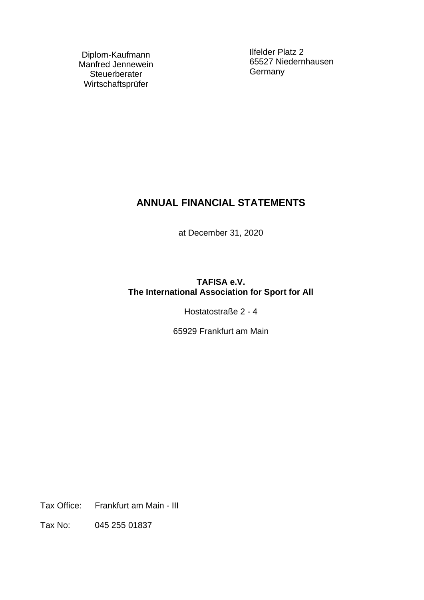Diplom-Kaufmann Manfred Jennewein **Steuerberater** Wirtschaftsprüfer

Ilfelder Platz 2 65527 Niedernhausen **Germany** 

# **ANNUAL FINANCIAL STATEMENTS**

at December 31, 2020

## **TAFISA e.V. The International Association for Sport for All**

Hostatostraße 2 - 4

65929 Frankfurt am Main

Tax Office: Frankfurt am Main - III

Tax No: 045 255 01837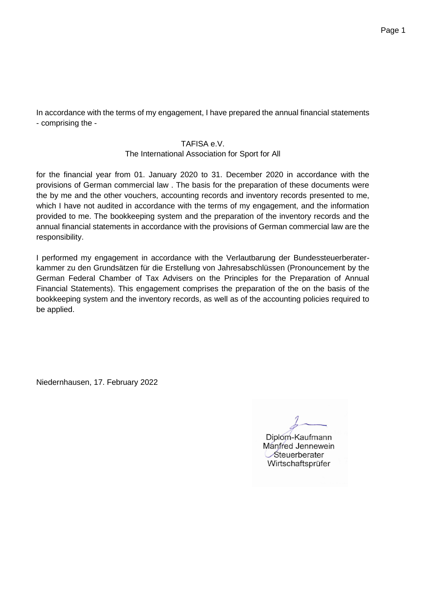Page 1

In accordance with the terms of my engagement, I have prepared the annual financial statements - comprising the -

### TAFISA e.V.

### The International Association for Sport for All

for the financial year from 01. January 2020 to 31. December 2020 in accordance with the provisions of German commercial law . The basis for the preparation of these documents were the by me and the other vouchers, accounting records and inventory records presented to me, which I have not audited in accordance with the terms of my engagement, and the information provided to me. The bookkeeping system and the preparation of the inventory records and the annual financial statements in accordance with the provisions of German commercial law are the responsibility.

I performed my engagement in accordance with the Verlautbarung der Bundessteuerberaterkammer zu den Grundsätzen für die Erstellung von Jahresabschlüssen (Pronouncement by the German Federal Chamber of Tax Advisers on the Principles for the Preparation of Annual Financial Statements). This engagement comprises the preparation of the on the basis of the bookkeeping system and the inventory records, as well as of the accounting policies required to be applied.

Niedernhausen, 17. February 2022

 $\theta$ 

Diplom-Kaufmann Manfred Jennewein Steuerberater<br>Wirtschaftsprüfer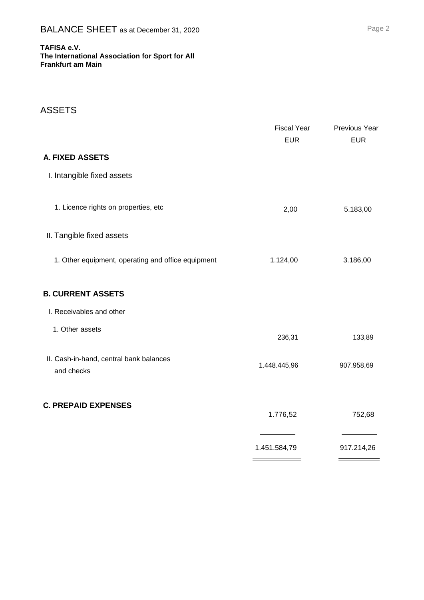#### **TAFISA e.V. The International Association for Sport for All Frankfurt am Main**

## ASSETS

|                                                       | <b>Fiscal Year</b><br><b>EUR</b> | Previous Year<br><b>EUR</b> |
|-------------------------------------------------------|----------------------------------|-----------------------------|
| <b>A. FIXED ASSETS</b>                                |                                  |                             |
| I. Intangible fixed assets                            |                                  |                             |
| 1. Licence rights on properties, etc                  | 2,00                             | 5.183,00                    |
| II. Tangible fixed assets                             |                                  |                             |
| 1. Other equipment, operating and office equipment    | 1.124,00                         | 3.186,00                    |
| <b>B. CURRENT ASSETS</b>                              |                                  |                             |
| I. Receivables and other                              |                                  |                             |
| 1. Other assets                                       | 236,31                           | 133,89                      |
| II. Cash-in-hand, central bank balances<br>and checks | 1.448.445,96                     | 907.958,69                  |
| <b>C. PREPAID EXPENSES</b>                            | 1.776,52                         | 752,68                      |
|                                                       | 1.451.584,79                     | 917.214,26                  |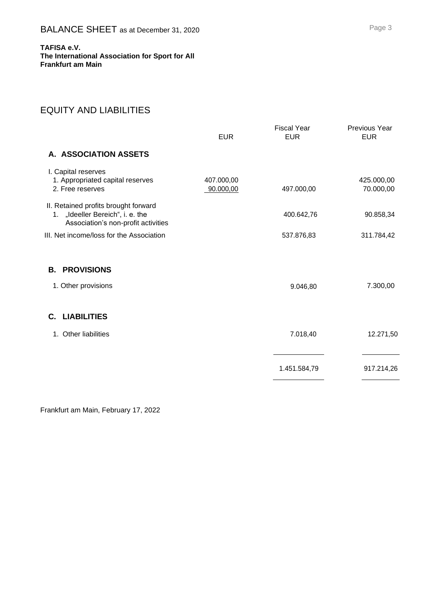**TAFISA e.V. The International Association for Sport for All Frankfurt am Main**

## EQUITY AND LIABILITIES

|                                                                                                                 | <b>EUR</b>              | <b>Fiscal Year</b><br><b>EUR</b> | <b>Previous Year</b><br><b>EUR</b> |
|-----------------------------------------------------------------------------------------------------------------|-------------------------|----------------------------------|------------------------------------|
| A. ASSOCIATION ASSETS                                                                                           |                         |                                  |                                    |
| I. Capital reserves<br>1. Appropriated capital reserves<br>2. Free reserves                                     | 407.000,00<br>90.000,00 | 497.000,00                       | 425.000,00<br>70.000,00            |
| II. Retained profits brought forward<br>1. "Ideeller Bereich", i. e. the<br>Association's non-profit activities |                         | 400.642,76                       | 90.858,34                          |
| III. Net income/loss for the Association                                                                        |                         | 537.876,83                       | 311.784,42                         |
| <b>PROVISIONS</b><br>В.                                                                                         |                         |                                  |                                    |
| 1. Other provisions                                                                                             |                         | 9.046,80                         | 7.300,00                           |
| C. LIABILITIES                                                                                                  |                         |                                  |                                    |
| Other liabilities<br>1.                                                                                         |                         | 7.018,40                         | 12.271,50                          |
|                                                                                                                 |                         | 1.451.584,79                     | 917.214,26                         |

Frankfurt am Main, February 17, 2022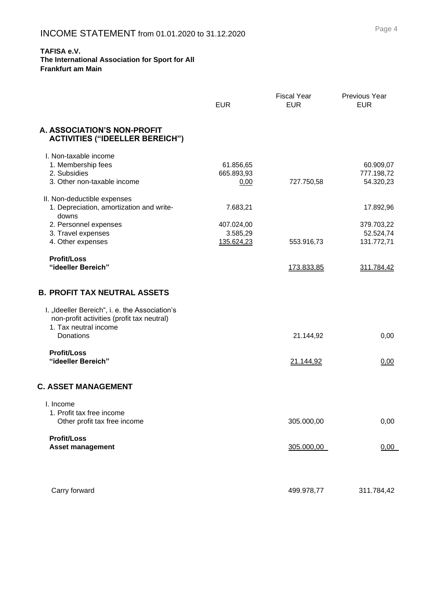#### **The International Association for Sport for All Frankfurt am Main**

|                                                                                                                       | <b>EUR</b> | <b>Fiscal Year</b><br><b>EUR</b> | Previous Year<br><b>EUR</b> |
|-----------------------------------------------------------------------------------------------------------------------|------------|----------------------------------|-----------------------------|
| A. ASSOCIATION'S NON-PROFIT<br><b>ACTIVITIES ("IDEELLER BEREICH")</b>                                                 |            |                                  |                             |
| I. Non-taxable income                                                                                                 |            |                                  |                             |
| 1. Membership fees                                                                                                    | 61.856,65  |                                  | 60.909,07                   |
| 2. Subsidies                                                                                                          | 665.893,93 |                                  | 777.198,72                  |
| 3. Other non-taxable income                                                                                           | 0,00       | 727.750,58                       | 54.320,23                   |
| II. Non-deductible expenses                                                                                           |            |                                  |                             |
| 1. Depreciation, amortization and write-<br>downs                                                                     | 7.683,21   |                                  | 17.892,96                   |
| 2. Personnel expenses                                                                                                 | 407.024,00 |                                  | 379.703,22                  |
| 3. Travel expenses                                                                                                    | 3.585,29   |                                  | 52.524,74                   |
| 4. Other expenses                                                                                                     | 135.624,23 | 553.916,73                       | 131.772,71                  |
| <b>Profit/Loss</b>                                                                                                    |            |                                  |                             |
| "ideeller Bereich"                                                                                                    |            | 173.833,85                       | 311.784,42                  |
| <b>B. PROFIT TAX NEUTRAL ASSETS</b>                                                                                   |            |                                  |                             |
| I. "Ideeller Bereich", i. e. the Association's<br>non-profit activities (profit tax neutral)<br>1. Tax neutral income |            |                                  |                             |
| Donations                                                                                                             |            | 21.144,92                        | 0,00                        |
| <b>Profit/Loss</b>                                                                                                    |            |                                  |                             |
| "ideeller Bereich"                                                                                                    |            | 21.144,92                        | 0,00                        |
| <b>C. ASSET MANAGEMENT</b>                                                                                            |            |                                  |                             |
| I. Income                                                                                                             |            |                                  |                             |
| 1. Profit tax free income                                                                                             |            |                                  |                             |
| Other profit tax free income                                                                                          |            | 305.000,00                       | 0,00                        |
| <b>Profit/Loss</b>                                                                                                    |            |                                  |                             |
| <b>Asset management</b>                                                                                               |            | 305.000,00                       | 0,00                        |
|                                                                                                                       |            |                                  |                             |
|                                                                                                                       |            |                                  |                             |
| Carry forward                                                                                                         |            | 499.978,77                       | 311.784,42                  |
|                                                                                                                       |            |                                  |                             |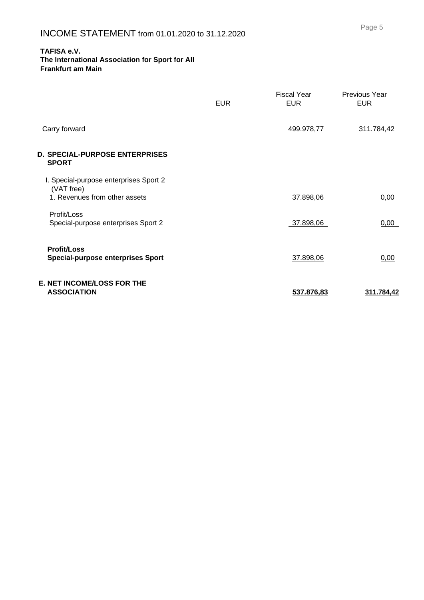#### **The International Association for Sport for All Frankfurt am Main**

|                                                                                       | <b>EUR</b> | Fiscal Year<br><b>EUR</b> | Previous Year<br><b>EUR</b> |
|---------------------------------------------------------------------------------------|------------|---------------------------|-----------------------------|
| Carry forward                                                                         |            | 499.978,77                | 311.784,42                  |
| D. SPECIAL-PURPOSE ENTERPRISES<br><b>SPORT</b>                                        |            |                           |                             |
| I. Special-purpose enterprises Sport 2<br>(VAT free)<br>1. Revenues from other assets |            | 37.898,06                 | 0,00                        |
| Profit/Loss<br>Special-purpose enterprises Sport 2                                    |            | 37.898,06                 | 0,00                        |
| <b>Profit/Loss</b><br><b>Special-purpose enterprises Sport</b>                        |            | 37.898,06                 | 0,00                        |
| <b>E. NET INCOME/LOSS FOR THE</b><br><b>ASSOCIATION</b>                               |            | 537.876,83                | <u>311.784.42</u>           |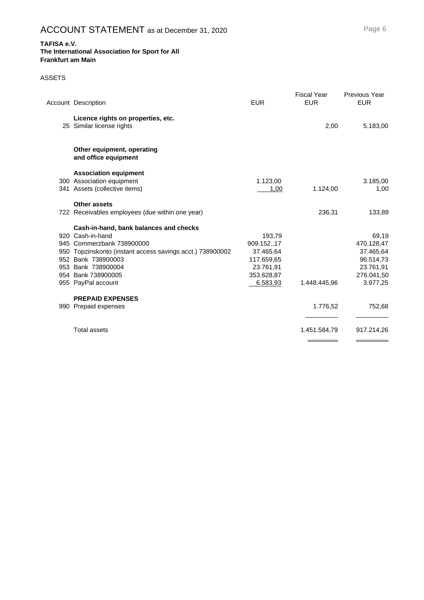#### **The International Association for Sport for All Frankfurt am Main**

### ASSETS

| <b>Account Description</b>                                      | <b>EUR</b>  | <b>Fiscal Year</b><br><b>EUR</b> | <b>Previous Year</b><br><b>EUR</b> |
|-----------------------------------------------------------------|-------------|----------------------------------|------------------------------------|
| Licence rights on properties, etc.<br>25 Similar license rights |             | 2,00                             | 5.183,00                           |
| Other equipment, operating<br>and office equipment              |             |                                  |                                    |
| <b>Association equipment</b>                                    |             |                                  |                                    |
| 300 Association equipment                                       | 1.123,00    |                                  | 3.185,00                           |
| 341 Assets (collective items)                                   | 1,00        | 1.124,00                         | 1,00                               |
| <b>Other assets</b>                                             |             |                                  |                                    |
| 722 Receivables employees (due within one year)                 |             | 236,31                           | 133,89                             |
| Cash-in-hand, bank balances and checks                          |             |                                  |                                    |
| 920 Cash-in-hand                                                | 193,79      |                                  | 69,19                              |
| 945 Commerzbank 738900000                                       | 909.152.,17 |                                  | 470.128,47                         |
| 950 Topzinskonto (instant access savings acct.) 738900002       | 37.465,64   |                                  | 37.465,64                          |
| 952 Bank 738900003                                              | 117.659,65  |                                  | 96.514,73                          |
| 953 Bank 738900004                                              | 23.761,91   |                                  | 23.761,91                          |
| 954 Bank 738900005                                              | 353.628,87  |                                  | 276.041,50                         |
| 955 PayPal account                                              | 6.583,93    | 1.448.445,96                     | 3.977,25                           |
| <b>PREPAID EXPENSES</b>                                         |             |                                  |                                    |
| 990 Prepaid expenses                                            |             | 1.776,52                         | 752,68                             |
| <b>Total assets</b>                                             |             | 1.451.584,79                     | 917.214,26                         |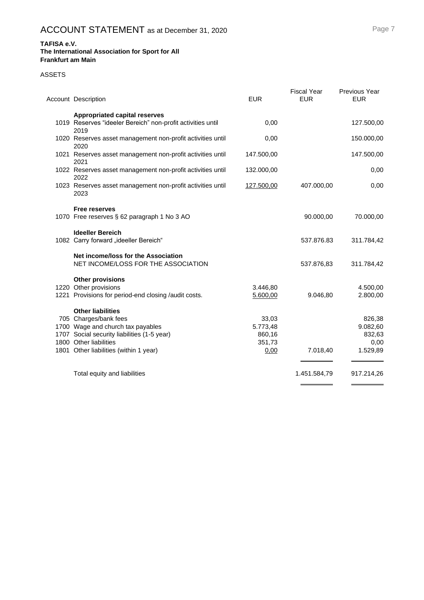#### **The International Association for Sport for All Frankfurt am Main**

#### ASSETS

| Account Description                                                        | <b>EUR</b> | <b>Fiscal Year</b><br><b>EUR</b> | <b>Previous Year</b><br><b>EUR</b> |
|----------------------------------------------------------------------------|------------|----------------------------------|------------------------------------|
| <b>Appropriated capital reserves</b>                                       |            |                                  |                                    |
| 1019 Reserves "ideeler Bereich" non-profit activities until<br>2019        | 0,00       |                                  | 127.500,00                         |
| 1020 Reserves asset management non-profit activities until<br>2020         | 0,00       |                                  | 150.000,00                         |
| 1021 Reserves asset management non-profit activities until<br>2021         | 147.500,00 |                                  | 147.500,00                         |
| 1022 Reserves asset management non-profit activities until<br>2022         | 132.000,00 |                                  | 0,00                               |
| 1023 Reserves asset management non-profit activities until<br>2023         | 127.500,00 | 407.000,00                       | 0,00                               |
| <b>Free reserves</b>                                                       |            |                                  |                                    |
| 1070 Free reserves § 62 paragraph 1 No 3 AO                                |            | 90.000,00                        | 70.000,00                          |
| <b>Ideeller Bereich</b>                                                    |            |                                  |                                    |
| 1082 Carry forward "ideeller Bereich"                                      |            | 537.876.83                       | 311.784,42                         |
| Net income/loss for the Association<br>NET INCOME/LOSS FOR THE ASSOCIATION |            | 537.876,83                       | 311.784,42                         |
| <b>Other provisions</b>                                                    |            |                                  |                                    |
| 1220 Other provisions                                                      | 3.446,80   |                                  | 4.500,00                           |
| 1221 Provisions for period-end closing /audit costs.                       | 5.600,00   | 9.046,80                         | 2.800,00                           |
| <b>Other liabilities</b>                                                   |            |                                  |                                    |
| 705 Charges/bank fees                                                      | 33,03      |                                  | 826,38                             |
| 1700 Wage and church tax payables                                          | 5.773,48   |                                  | 9.082,60                           |
| 1707 Social security liabilities (1-5 year)                                | 860,16     |                                  | 832,63                             |
| 1800 Other liabilities                                                     | 351,73     | 7.018,40                         | 0,00<br>1.529,89                   |
| 1801 Other liabilities (within 1 year)                                     | 0,00       |                                  |                                    |
| Total equity and liabilities                                               |            | 1.451.584,79                     | 917.214,26                         |
|                                                                            |            |                                  |                                    |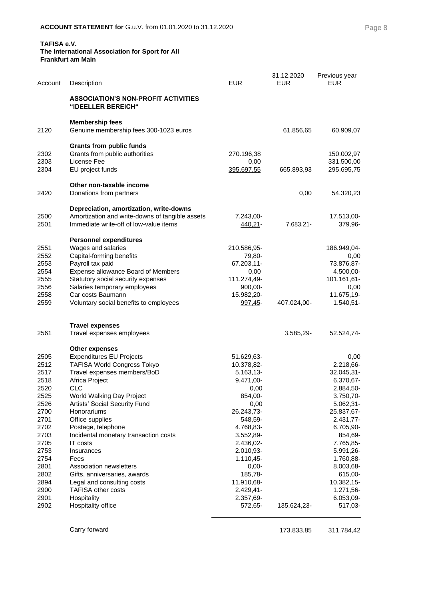#### **The International Association for Sport for All Frankfurt am Main**

| Account      | Description                                                      | <b>EUR</b>              | 31.12.2020<br><b>EUR</b> | Previous year<br><b>EUR</b> |
|--------------|------------------------------------------------------------------|-------------------------|--------------------------|-----------------------------|
|              | <b>ASSOCIATION'S NON-PROFIT ACTIVITIES</b><br>"IDEELLER BEREICH" |                         |                          |                             |
| 2120         | <b>Membership fees</b><br>Genuine membership fees 300-1023 euros |                         | 61.856,65                | 60.909,07                   |
|              | <b>Grants from public funds</b>                                  |                         |                          |                             |
| 2302         | Grants from public authorities                                   | 270.196,38              |                          | 150.002,97                  |
| 2303<br>2304 | License Fee                                                      | 0,00                    |                          | 331.500,00                  |
|              | EU project funds                                                 | <u>395.697,55</u>       | 665.893,93               | 295.695,75                  |
|              | Other non-taxable income                                         |                         |                          |                             |
| 2420         | Donations from partners                                          |                         | 0,00                     | 54.320,23                   |
|              | Depreciation, amortization, write-downs                          |                         |                          |                             |
| 2500         | Amortization and write-downs of tangible assets                  | 7.243,00-               |                          | 17.513,00-                  |
| 2501         | Immediate write-off of low-value items                           | 440,21-                 | 7.683,21-                | 379,96-                     |
|              | <b>Personnel expenditures</b>                                    |                         |                          |                             |
| 2551         | Wages and salaries                                               | 210.586,95-             |                          | 186.949,04-                 |
| 2552         | Capital-forming benefits                                         | 79,80-                  |                          | 0,00                        |
| 2553         | Payroll tax paid                                                 | 67.203,11-              |                          | 73.876,87-                  |
| 2554         | Expense allowance Board of Members                               | 0,00                    |                          | 4.500,00-                   |
| 2555         | Statutory social security expenses                               | 111.274,49-             |                          | 101.161,61-                 |
| 2556<br>2558 | Salaries temporary employees<br>Car costs Baumann                | $900,00-$               |                          | 0,00                        |
| 2559         | Voluntary social benefits to employees                           | 15.982,20-<br>997,45-   | 407.024,00-              | 11.675,19-<br>$1.540,51-$   |
|              |                                                                  |                         |                          |                             |
|              | <b>Travel expenses</b>                                           |                         |                          |                             |
| 2561         | Travel expenses employees                                        |                         | $3.585,29-$              | 52.524,74-                  |
|              | <b>Other expenses</b>                                            |                         |                          |                             |
| 2505         | <b>Expenditures EU Projects</b>                                  | 51.629,63-              |                          | 0,00                        |
| 2512         | <b>TAFISA World Congress Tokyo</b>                               | 10.378,82-              |                          | 2.218,66-                   |
| 2517         | Travel expenses members/BoD                                      | 5.163,13-               |                          | 32.045,31-                  |
| 2518         | Africa Project                                                   | 9.471,00-               |                          | 6.370,67-                   |
| 2520         | <b>CLC</b>                                                       | 0,00                    |                          | 2.884,50-                   |
| 2525<br>2526 | World Walking Day Project<br>Artists' Social Security Fund       | 854,00-<br>0,00         |                          | 3.750,70-<br>5.062,31-      |
| 2700         | Honorariums                                                      | 26.243,73-              |                          | 25.837,67-                  |
| 2701         | Office supplies                                                  | 548,59-                 |                          | 2.431,77-                   |
| 2702         | Postage, telephone                                               | 4.768,83-               |                          | 6.705,90-                   |
| 2703         | Incidental monetary transaction costs                            | 3.552,89-               |                          | 854,69-                     |
| 2705         | <b>IT</b> costs                                                  | 2.436,02-               |                          | 7.765,85-                   |
| 2753         | Insurances                                                       | 2.010,93-               |                          | 5.991,26-                   |
| 2754         | Fees                                                             | 1.110,45-               |                          | 1.760,88-                   |
| 2801         | Association newsletters                                          | $0,00-$                 |                          | 8.003,68-                   |
| 2802         | Gifts, anniversaries, awards                                     | 185,78-                 |                          | 615,00-                     |
| 2894<br>2900 | Legal and consulting costs<br><b>TAFISA other costs</b>          | 11.910,68-<br>2.429,41- |                          | 10.382,15-<br>1.271,56-     |
| 2901         | Hospitality                                                      | 2.357,69-               |                          | 6.053,09-                   |
| 2902         | Hospitality office                                               | 572,65-                 | 135.624,23-              | 517,03-                     |
|              |                                                                  |                         |                          |                             |

Carry forward 2001 2002 2003 2004 2004 2005 2006 2012 2013 2014 2016 2017 2018 2019 2019 2019 2019 2019 2014 20